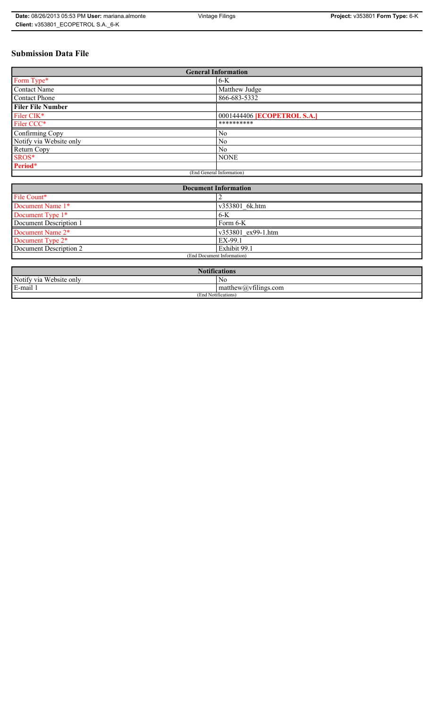# **Submission Data File**

| <b>General Information</b> |                                    |  |  |  |
|----------------------------|------------------------------------|--|--|--|
| Form Type*                 | $6-K$                              |  |  |  |
| <b>Contact Name</b>        | Matthew Judge                      |  |  |  |
| Contact Phone              | 866-683-5332                       |  |  |  |
| <b>Filer File Number</b>   |                                    |  |  |  |
| Filer CIK*                 | 0001444406 <b>[ECOPETROL S.A.]</b> |  |  |  |
| Filer CCC*                 | **********                         |  |  |  |
| Confirming Copy            | No                                 |  |  |  |
| Notify via Website only    | N <sub>0</sub>                     |  |  |  |
| Return Copy                | N <sub>0</sub>                     |  |  |  |
| SROS*                      | <b>NONE</b>                        |  |  |  |
| Period*                    |                                    |  |  |  |
| (End General Information)  |                                    |  |  |  |

| <b>Document Information</b> |                    |  |  |
|-----------------------------|--------------------|--|--|
| File Count*                 |                    |  |  |
| Document Name 1*            | v353801 6k.htm     |  |  |
| Document Type 1*            | $6-K$              |  |  |
| Document Description 1      | Form 6-K           |  |  |
| Document Name 2*            | v353801 ex99-1.htm |  |  |
| Document Type 2*            | EX-99.1            |  |  |
| Document Description 2      | Exhibit 99.1       |  |  |
| (End Document Information)  |                    |  |  |
|                             |                    |  |  |

| <b>Notifications</b>         |                      |  |
|------------------------------|----------------------|--|
| Notify via<br>ı Website onlv | N0                   |  |
| E-mail                       | matthew@vfilings.com |  |
| (End Notifications)          |                      |  |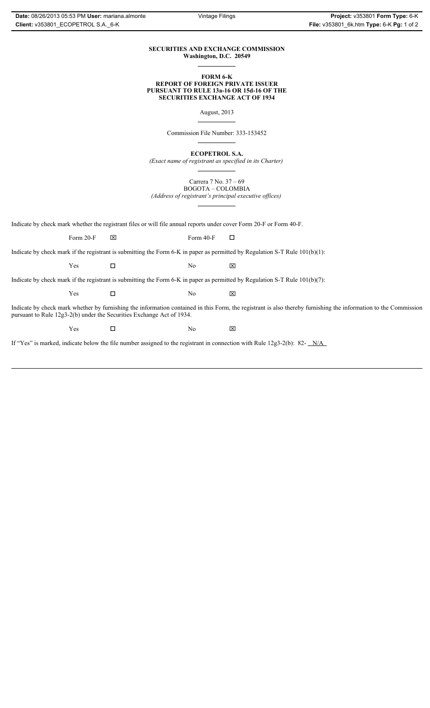#### **SECURITIES AND EXCHANGE COMMISSION Washington, D.C. 20549**

#### **FORM 6-K REPORT OF FOREIGN PRIVATE ISSUER PURSUANT TO RULE 13a-16 OR 15d-16 OF THE SECURITIES EXCHANGE ACT OF 1934**

August, 2013

Commission File Number: 333-153452

**ECOPETROL S.A.**

*(Exact name of registrant as specified in its Charter)*

Carrera 7 No. 37 – 69 BOGOTA – COLOMBIA

*(Address of registrant's principal executive offices)*

Indicate by check mark whether the registrant files or will file annual reports under cover Form 20-F or Form 40-F.

Form 20-F  $\boxtimes$  Form 40-F  $\Box$ 

Indicate by check mark if the registrant is submitting the Form 6-K in paper as permitted by Regulation S-T Rule 101(b)(1):

 $Yes$   $\Box$  No  $X$ 

Indicate by check mark if the registrant is submitting the Form 6-K in paper as permitted by Regulation S-T Rule 101(b)(7):

 $Yes$   $\Box$  No  $X$ 

Indicate by check mark whether by furnishing the information contained in this Form, the registrant is also thereby furnishing the information to the Commission pursuant to Rule 12g3-2(b) under the Securities Exchange Act of 1934.

 $Yes$   $\square$  No  $X$ 

If "Yes" is marked, indicate below the file number assigned to the registrant in connection with Rule 12g3-2(b): 82- N/A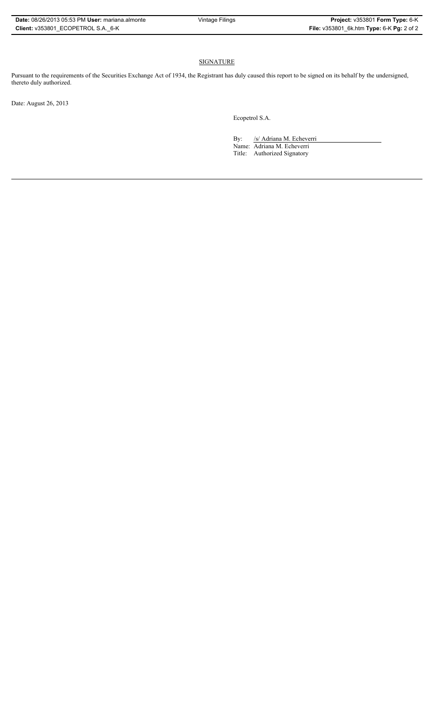### **SIGNATURE**

Pursuant to the requirements of the Securities Exchange Act of 1934, the Registrant has duly caused this report to be signed on its behalf by the undersigned, thereto duly authorized.

Date: August 26, 2013

Ecopetrol S.A.

By: /s/ Adriana M. Echeverri Name: Adriana M. Echeverri

Title: Authorized Signatory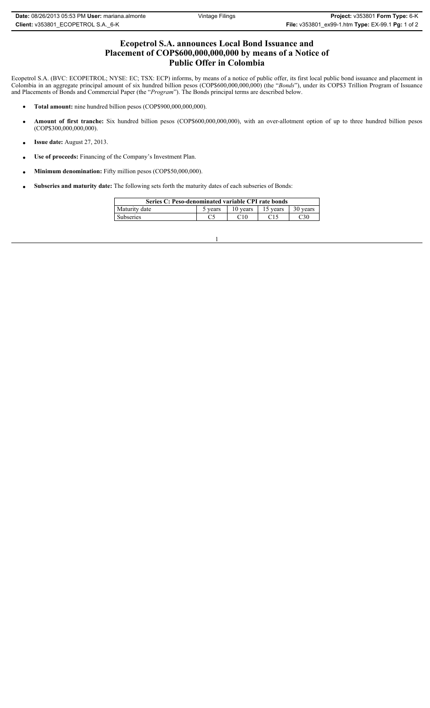## **Ecopetrol S.A. announces Local Bond Issuance and Placement of COP\$600,000,000,000 by means of a Notice of Public Offer in Colombia**

Ecopetrol S.A. (BVC: ECOPETROL; NYSE: EC; TSX: ECP) informs, by means of a notice of public offer, its first local public bond issuance and placement in Colombia in an aggregate principal amount of six hundred billion pesos (COP\$600,000,000,000) (the "*Bonds*"), under its COP\$3 Trillion Program of Issuance and Placements of Bonds and Commercial Paper (the "*Program*"). The Bonds principal terms are described below.

- **Total amount:** nine hundred billion pesos (COP\$900,000,000,000).
- x **Amount of first tranche:** Six hundred billion pesos (COP\$600,000,000,000), with an over-allotment option of up to three hundred billion pesos (COP\$300,000,000,000).
- **• Issue date:** August 27, 2013.
- x **Use of proceeds:** Financing of the Company's Investment Plan.
- Minimum denomination: Fifty million pesos (COP\$50,000,000).
- Subseries and maturity date: The following sets forth the maturity dates of each subseries of Bonds:

| Series C: Peso-denominated variable CPI rate bonds |         |          |          |          |  |  |
|----------------------------------------------------|---------|----------|----------|----------|--|--|
| Maturity date                                      | 5 years | 10 years | 15 years | 30 years |  |  |
| Subseries                                          |         | C10      |          | 230      |  |  |

1